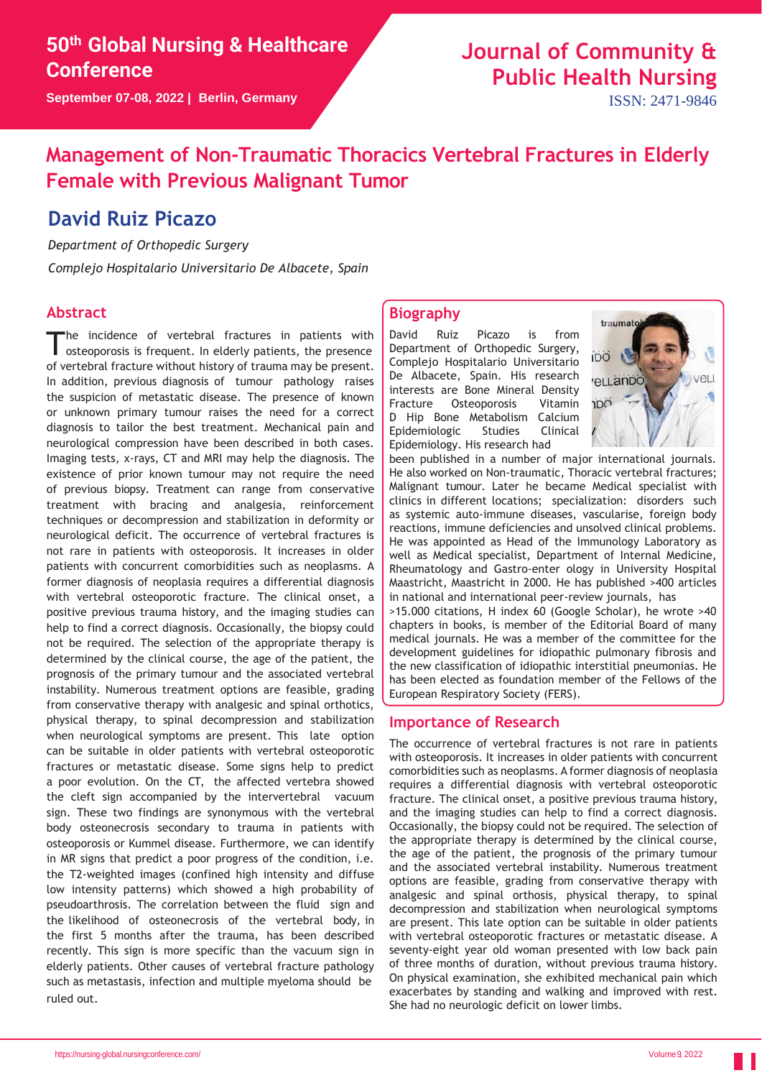**September 07-08, 2022 | Berlin, Germany**

# **Journal of Community & Public Health Nursing**

ISSN: 2471-9846

## **Management of Non-Traumatic Thoracics Vertebral Fractures in Elderly Female with Previous Malignant Tumor**

### **David Ruiz Picazo**

*Department of Orthopedic Surgery*

*Complejo Hospitalario Universitario De Albacete, Spain*

### **Abstract**

The incidence of vertebral fractures in patients with<br>osteoporosis is frequent. In elderly patients, the presence he incidence of vertebral fractures in patients with of vertebral fracture without history of trauma may be present. In addition, previous diagnosis of tumour pathology raises the suspicion of metastatic disease. The presence of known or unknown primary tumour raises the need for a correct diagnosis to tailor the best treatment. Mechanical pain and neurological compression have been described in both cases. Imaging tests, x-rays, CT and MRI may help the diagnosis. The existence of prior known tumour may not require the need of previous biopsy. Treatment can range from conservative treatment with bracing and analgesia, reinforcement techniques or decompression and stabilization in deformity or neurological deficit. The occurrence of vertebral fractures is not rare in patients with osteoporosis. It increases in older patients with concurrent comorbidities such as neoplasms. A former diagnosis of neoplasia requires a differential diagnosis with vertebral osteoporotic fracture. The clinical onset, a positive previous trauma history, and the imaging studies can help to find a correct diagnosis. Occasionally, the biopsy could not be required. The selection of the appropriate therapy is determined by the clinical course, the age of the patient, the prognosis of the primary tumour and the associated vertebral instability. Numerous treatment options are feasible, grading from conservative therapy with analgesic and spinal orthotics, physical therapy, to spinal decompression and stabilization when neurological symptoms are present. This late option can be suitable in older patients with vertebral osteoporotic fractures or metastatic disease. Some signs help to predict a poor evolution. On the CT, the affected vertebra showed the cleft sign accompanied by the intervertebral vacuum sign. These two findings are synonymous with the vertebral body osteonecrosis secondary to trauma in patients with osteoporosis or Kummel disease. Furthermore, we can identify in MR signs that predict a poor progress of the condition, i.e. the T2-weighted images (confined high intensity and diffuse low intensity patterns) which showed a high probability of pseudoarthrosis. The correlation between the fluid sign and the likelihood of osteonecrosis of the vertebral body, in the first 5 months after the trauma, has been described recently. This sign is more specific than the vacuum sign in elderly patients. Other causes of vertebral fracture pathology such as metastasis, infection and multiple myeloma should be ruled out.

#### **Biography**

David Ruiz Picazo is from Department of Orthopedic Surgery, Complejo Hospitalario Universitario De Albacete, Spain. His research interests are Bone Mineral Density Fracture Osteoporosis Vitamin D Hip Bone Metabolism Calcium Epidemiologic Studies Clinical Epidemiology. His research had



been published in a number of major international journals. He also worked on Non-traumatic, Thoracic vertebral fractures; Malignant tumour. Later he became Medical specialist with clinics in different locations; specialization: disorders such as systemic auto-immune diseases, vascularise, foreign body reactions, immune deficiencies and unsolved clinical problems. He was appointed as Head of the Immunology Laboratory as well as Medical specialist, Department of Internal Medicine, Rheumatology and Gastro-enter ology in University Hospital Maastricht, Maastricht in 2000. He has published >400 articles in national and international peer-review journals, has >15.000 citations, H index 60 (Google Scholar), he wrote >40 chapters in books, is member of the Editorial Board of many medical journals. He was a member of the committee for the

development guidelines for idiopathic pulmonary fibrosis and the new classification of idiopathic interstitial pneumonias. He has been elected as foundation member of the Fellows of the European Respiratory Society (FERS).

#### **Importance of Research**

The occurrence of vertebral fractures is not rare in patients with osteoporosis. It increases in older patients with concurrent comorbidities such as neoplasms. A former diagnosis of neoplasia requires a differential diagnosis with vertebral osteoporotic fracture. The clinical onset, a positive previous trauma history, and the imaging studies can help to find a correct diagnosis. Occasionally, the biopsy could not be required. The selection of the appropriate therapy is determined by the clinical course, the age of the patient, the prognosis of the primary tumour and the associated vertebral instability. Numerous treatment options are feasible, grading from conservative therapy with analgesic and spinal orthosis, physical therapy, to spinal decompression and stabilization when neurological symptoms are present. This late option can be suitable in older patients with vertebral osteoporotic fractures or metastatic disease. A seventy-eight year old woman presented with low back pain of three months of duration, without previous trauma history. On physical examination, she exhibited mechanical pain which exacerbates by standing and walking and improved with rest. She had no neurologic deficit on lower limbs.